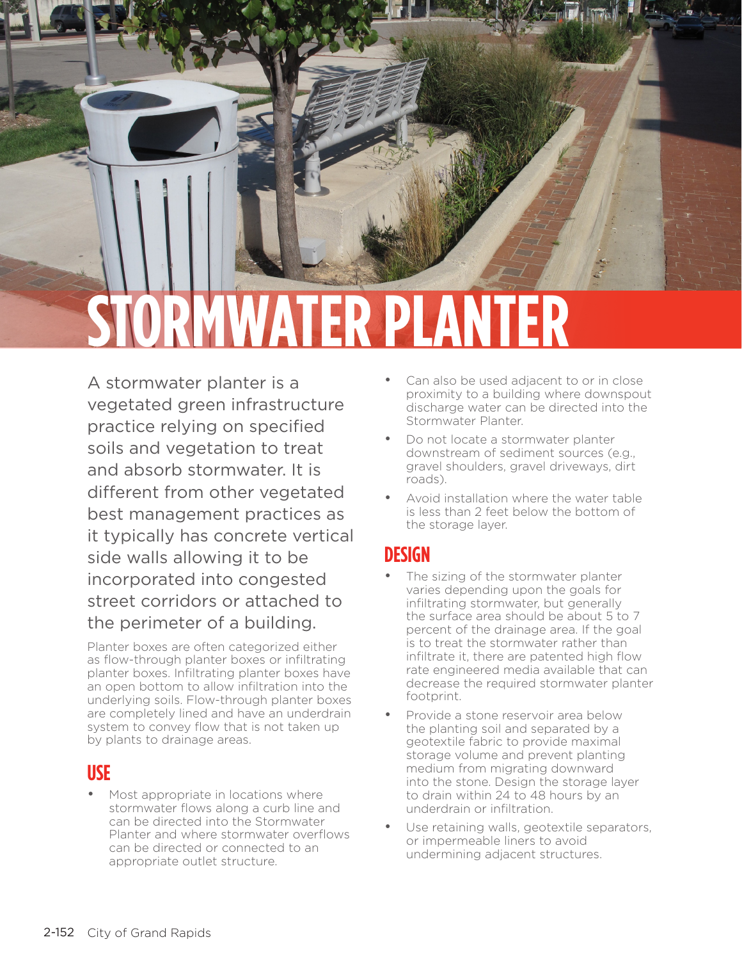

# **STORMWATER PLANTER**

A stormwater planter is a vegetated green infrastructure practice relying on specified soils and vegetation to treat and absorb stormwater. It is different from other vegetated best management practices as it typically has concrete vertical side walls allowing it to be incorporated into congested street corridors or attached to the perimeter of a building.

Planter boxes are often categorized either as flow-through planter boxes or infiltrating planter boxes. Infiltrating planter boxes have an open bottom to allow infiltration into the underlying soils. Flow-through planter boxes are completely lined and have an underdrain system to convey flow that is not taken up by plants to drainage areas.

#### **USE**

Most appropriate in locations where stormwater flows along a curb line and can be directed into the Stormwater Planter and where stormwater overflows can be directed or connected to an appropriate outlet structure.

- Can also be used adjacent to or in close proximity to a building where downspout discharge water can be directed into the Stormwater Planter.
- Do not locate a stormwater planter downstream of sediment sources (e.g., gravel shoulders, gravel driveways, dirt roads).
- Avoid installation where the water table is less than 2 feet below the bottom of the storage layer.

#### **DESIGN**

- The sizing of the stormwater planter varies depending upon the goals for infiltrating stormwater, but generally the surface area should be about 5 to 7 percent of the drainage area. If the goal is to treat the stormwater rather than infiltrate it, there are patented high flow rate engineered media available that can decrease the required stormwater planter footprint.
- Provide a stone reservoir area below the planting soil and separated by a geotextile fabric to provide maximal storage volume and prevent planting medium from migrating downward into the stone. Design the storage layer to drain within 24 to 48 hours by an underdrain or infiltration.
- Use retaining walls, geotextile separators, or impermeable liners to avoid undermining adjacent structures.